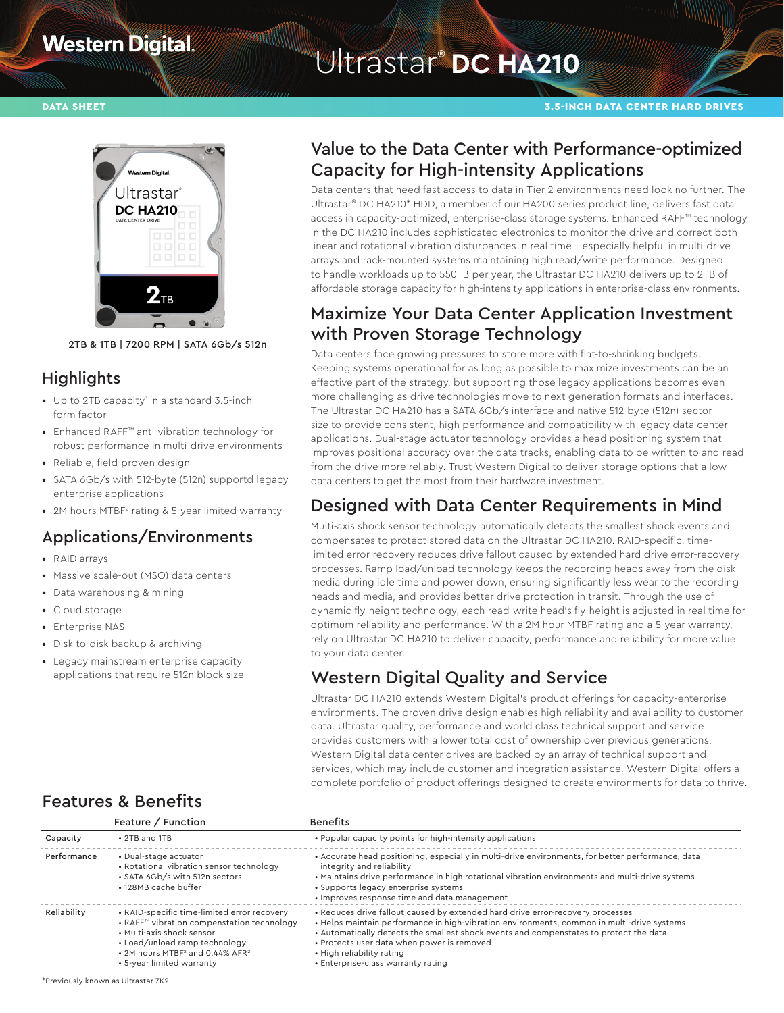# **Western Digital**

# Ultrastar® **DC HA210**

#### DATA SHEET 3.5-INCH DATA CENTER HARD DRIVES



2TB & 1TB | 7200 RPM | SATA 6Gb/s 512n

#### **Highlights**

- Up to 2TB capacity<sup>1</sup> in a standard 3.5-inch form factor
- Enhanced RAFF™ anti-vibration technology for robust performance in multi-drive environments
- Reliable, field-proven design
- SATA 6Gb/s with 512-byte (512n) supportd legacy enterprise applications
- 2M hours MTBF<sup>2</sup> rating & 5-year limited warranty

#### Applications/Environments

- RAID arrays
- Massive scale-out (MSO) data centers
- Data warehousing & mining
- Cloud storage
- Enterprise NAS
- Disk-to-disk backup & archiving
- Legacy mainstream enterprise capacity applications that require 512n block size

#### Value to the Data Center with Performance-optimized Capacity for High-intensity Applications

Data centers that need fast access to data in Tier 2 environments need look no further. The Ultrastar® DC HA210\* HDD, a member of our HA200 series product line, delivers fast data access in capacity-optimized, enterprise-class storage systems. Enhanced RAFF™ technology in the DC HA210 includes sophisticated electronics to monitor the drive and correct both linear and rotational vibration disturbances in real time—especially helpful in multi-drive arrays and rack-mounted systems maintaining high read/write performance. Designed to handle workloads up to 550TB per year, the Ultrastar DC HA210 delivers up to 2TB of affordable storage capacity for high-intensity applications in enterprise-class environments.

#### Maximize Your Data Center Application Investment with Proven Storage Technology

Data centers face growing pressures to store more with flat-to-shrinking budgets. Keeping systems operational for as long as possible to maximize investments can be an effective part of the strategy, but supporting those legacy applications becomes even more challenging as drive technologies move to next generation formats and interfaces. The Ultrastar DC HA210 has a SATA 6Gb/s interface and native 512-byte (512n) sector size to provide consistent, high performance and compatibility with legacy data center applications. Dual-stage actuator technology provides a head positioning system that improves positional accuracy over the data tracks, enabling data to be written to and read from the drive more reliably. Trust Western Digital to deliver storage options that allow data centers to get the most from their hardware investment.

#### Designed with Data Center Requirements in Mind

Multi-axis shock sensor technology automatically detects the smallest shock events and compensates to protect stored data on the Ultrastar DC HA210. RAID-specific, timelimited error recovery reduces drive fallout caused by extended hard drive error-recovery processes. Ramp load/unload technology keeps the recording heads away from the disk media during idle time and power down, ensuring significantly less wear to the recording heads and media, and provides better drive protection in transit. Through the use of dynamic fly-height technology, each read-write head's fly-height is adjusted in real time for optimum reliability and performance. With a 2M hour MTBF rating and a 5-year warranty, rely on Ultrastar DC HA210 to deliver capacity, performance and reliability for more value to your data center.

#### Western Digital Quality and Service

Ultrastar DC HA210 extends Western Digital's product offerings for capacity-enterprise environments. The proven drive design enables high reliability and availability to customer data. Ultrastar quality, performance and world class technical support and service provides customers with a lower total cost of ownership over previous generations. Western Digital data center drives are backed by an array of technical support and services, which may include customer and integration assistance. Western Digital offers a complete portfolio of product offerings designed to create environments for data to thrive.

|             | Feature / Function                                                                                                                                                                                                                              | <b>Benefits</b>                                                                                                                                                                                                                                                                                                                                                                         |
|-------------|-------------------------------------------------------------------------------------------------------------------------------------------------------------------------------------------------------------------------------------------------|-----------------------------------------------------------------------------------------------------------------------------------------------------------------------------------------------------------------------------------------------------------------------------------------------------------------------------------------------------------------------------------------|
| Capacity    | $\cdot$ 2TB and 1TB                                                                                                                                                                                                                             | • Popular capacity points for high-intensity applications                                                                                                                                                                                                                                                                                                                               |
| Performance | • Dual-stage actuator<br>• Rotational vibration sensor technology<br>• SATA 6Gb/s with 512n sectors<br>• 128MB cache buffer                                                                                                                     | • Accurate head positioning, especially in multi-drive environments, for better performance, data<br>integrity and reliability<br>. Maintains drive performance in high rotational vibration environments and multi-drive systems<br>• Supports legacy enterprise systems<br>• Improves response time and data management                                                               |
| Reliability | • RAID-specific time-limited error recovery<br>• RAFF™ vibration compenstation technology<br>• Multi-axis shock sensor<br>• Load/unload ramp technology<br>• 2M hours MTBF <sup>2</sup> and 0.44% AFR <sup>2</sup><br>• 5-year limited warranty | • Reduces drive fallout caused by extended hard drive error-recovery processes<br>. Helps maintain performance in high-vibration environments, common in multi-drive systems<br>. Automatically detects the smallest shock events and compenstates to protect the data<br>• Protects user data when power is removed<br>• High reliability rating<br>• Enterprise-class warranty rating |

## Features & Benefits